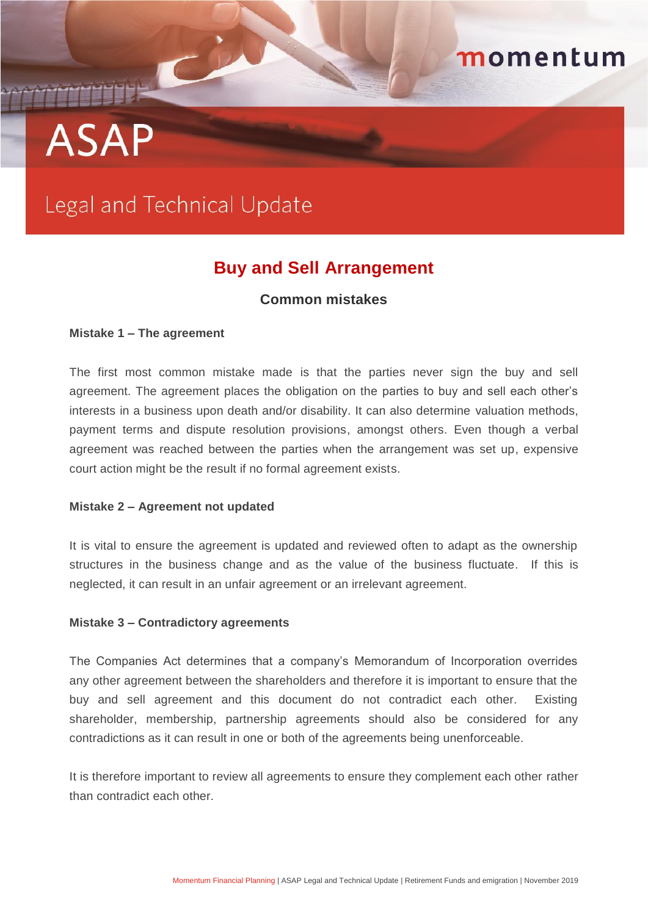# THEFT **ASAP**

## Legal and Technical Update

### **Buy and Sell Arrangement**

momentum

#### **Common mistakes**

#### **Mistake 1 – The agreement**

The first most common mistake made is that the parties never sign the buy and sell agreement. The agreement places the obligation on the parties to buy and sell each other's interests in a business upon death and/or disability. It can also determine valuation methods, payment terms and dispute resolution provisions, amongst others. Even though a verbal agreement was reached between the parties when the arrangement was set up, expensive court action might be the result if no formal agreement exists.

#### **Mistake 2 – Agreement not updated**

It is vital to ensure the agreement is updated and reviewed often to adapt as the ownership structures in the business change and as the value of the business fluctuate. If this is neglected, it can result in an unfair agreement or an irrelevant agreement.

#### **Mistake 3 – Contradictory agreements**

The Companies Act determines that a company's Memorandum of Incorporation overrides any other agreement between the shareholders and therefore it is important to ensure that the buy and sell agreement and this document do not contradict each other. Existing shareholder, membership, partnership agreements should also be considered for any contradictions as it can result in one or both of the agreements being unenforceable.

It is therefore important to review all agreements to ensure they complement each other rather than contradict each other.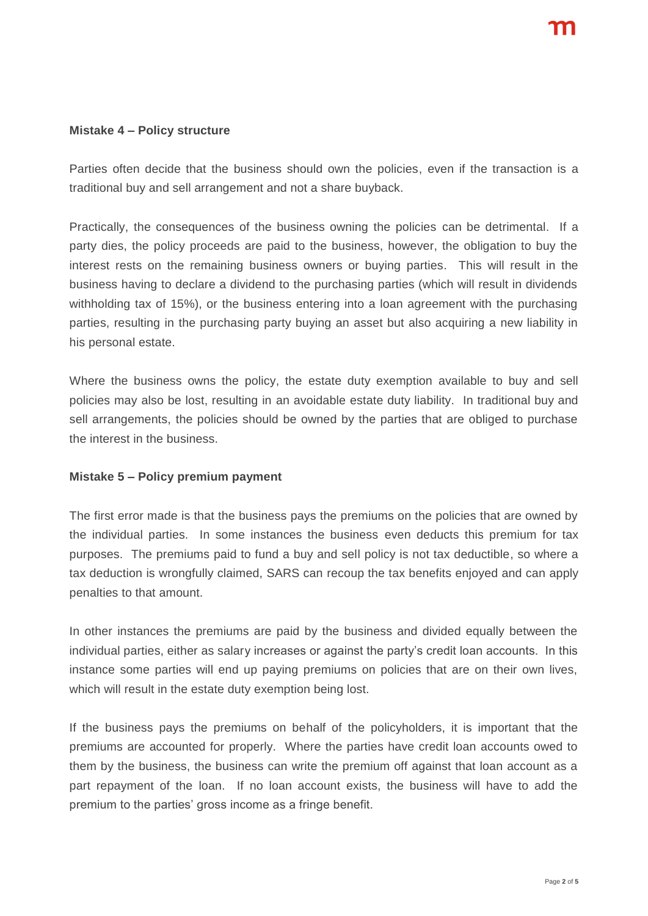#### **Mistake 4 – Policy structure**

Parties often decide that the business should own the policies, even if the transaction is a traditional buy and sell arrangement and not a share buyback.

Practically, the consequences of the business owning the policies can be detrimental. If a party dies, the policy proceeds are paid to the business, however, the obligation to buy the interest rests on the remaining business owners or buying parties. This will result in the business having to declare a dividend to the purchasing parties (which will result in dividends withholding tax of 15%), or the business entering into a loan agreement with the purchasing parties, resulting in the purchasing party buying an asset but also acquiring a new liability in his personal estate.

Where the business owns the policy, the estate duty exemption available to buy and sell policies may also be lost, resulting in an avoidable estate duty liability. In traditional buy and sell arrangements, the policies should be owned by the parties that are obliged to purchase the interest in the business.

#### **Mistake 5 – Policy premium payment**

The first error made is that the business pays the premiums on the policies that are owned by the individual parties. In some instances the business even deducts this premium for tax purposes. The premiums paid to fund a buy and sell policy is not tax deductible, so where a tax deduction is wrongfully claimed, SARS can recoup the tax benefits enjoyed and can apply penalties to that amount.

In other instances the premiums are paid by the business and divided equally between the individual parties, either as salary increases or against the party's credit loan accounts. In this instance some parties will end up paying premiums on policies that are on their own lives, which will result in the estate duty exemption being lost.

If the business pays the premiums on behalf of the policyholders, it is important that the premiums are accounted for properly. Where the parties have credit loan accounts owed to them by the business, the business can write the premium off against that loan account as a part repayment of the loan. If no loan account exists, the business will have to add the premium to the parties' gross income as a fringe benefit.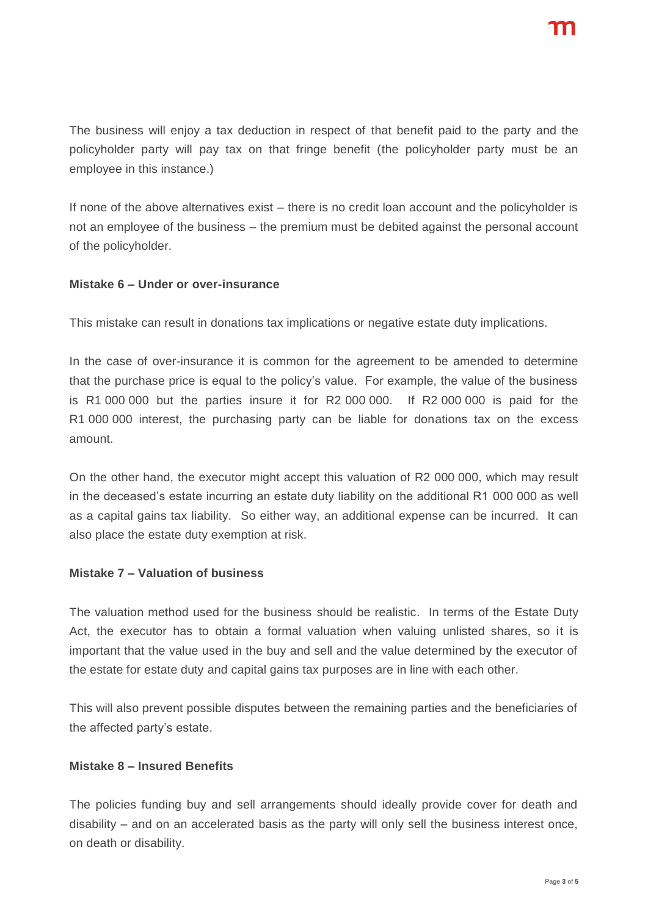The business will enjoy a tax deduction in respect of that benefit paid to the party and the policyholder party will pay tax on that fringe benefit (the policyholder party must be an employee in this instance.)

If none of the above alternatives exist – there is no credit loan account and the policyholder is not an employee of the business – the premium must be debited against the personal account of the policyholder.

#### **Mistake 6 – Under or over-insurance**

This mistake can result in donations tax implications or negative estate duty implications.

In the case of over-insurance it is common for the agreement to be amended to determine that the purchase price is equal to the policy's value. For example, the value of the business is R1 000 000 but the parties insure it for R2 000 000. If R2 000 000 is paid for the R1 000 000 interest, the purchasing party can be liable for donations tax on the excess amount.

On the other hand, the executor might accept this valuation of R2 000 000, which may result in the deceased's estate incurring an estate duty liability on the additional R1 000 000 as well as a capital gains tax liability. So either way, an additional expense can be incurred. It can also place the estate duty exemption at risk.

#### **Mistake 7 – Valuation of business**

The valuation method used for the business should be realistic. In terms of the Estate Duty Act, the executor has to obtain a formal valuation when valuing unlisted shares, so it is important that the value used in the buy and sell and the value determined by the executor of the estate for estate duty and capital gains tax purposes are in line with each other.

This will also prevent possible disputes between the remaining parties and the beneficiaries of the affected party's estate.

#### **Mistake 8 – Insured Benefits**

The policies funding buy and sell arrangements should ideally provide cover for death and disability – and on an accelerated basis as the party will only sell the business interest once, on death or disability.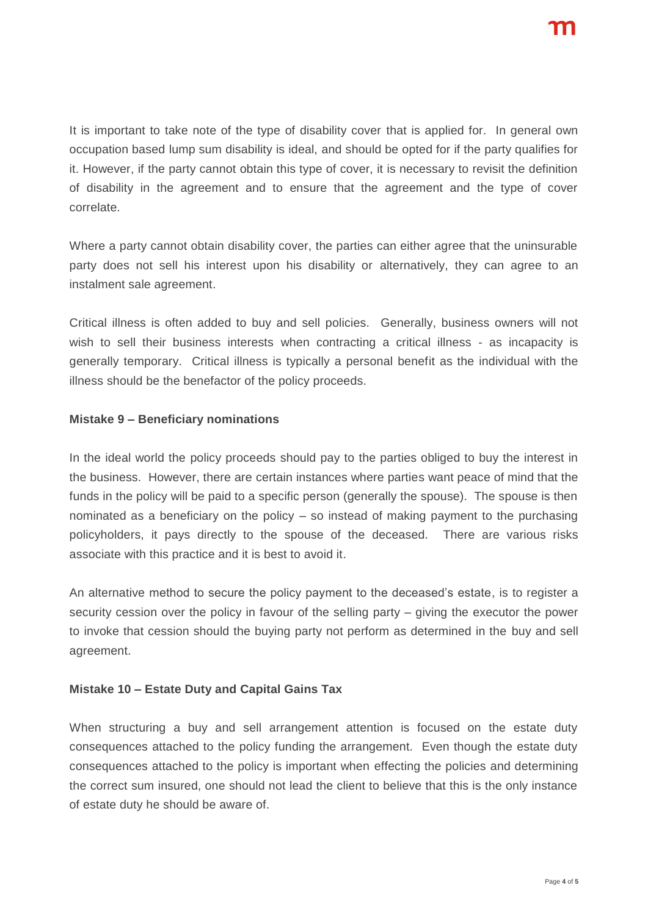It is important to take note of the type of disability cover that is applied for. In general own occupation based lump sum disability is ideal, and should be opted for if the party qualifies for it. However, if the party cannot obtain this type of cover, it is necessary to revisit the definition of disability in the agreement and to ensure that the agreement and the type of cover correlate.

Where a party cannot obtain disability cover, the parties can either agree that the uninsurable party does not sell his interest upon his disability or alternatively, they can agree to an instalment sale agreement.

Critical illness is often added to buy and sell policies. Generally, business owners will not wish to sell their business interests when contracting a critical illness - as incapacity is generally temporary. Critical illness is typically a personal benefit as the individual with the illness should be the benefactor of the policy proceeds.

#### **Mistake 9 – Beneficiary nominations**

In the ideal world the policy proceeds should pay to the parties obliged to buy the interest in the business. However, there are certain instances where parties want peace of mind that the funds in the policy will be paid to a specific person (generally the spouse). The spouse is then nominated as a beneficiary on the policy – so instead of making payment to the purchasing policyholders, it pays directly to the spouse of the deceased. There are various risks associate with this practice and it is best to avoid it.

An alternative method to secure the policy payment to the deceased's estate, is to register a security cession over the policy in favour of the selling party – giving the executor the power to invoke that cession should the buying party not perform as determined in the buy and sell agreement.

#### **Mistake 10 – Estate Duty and Capital Gains Tax**

When structuring a buy and sell arrangement attention is focused on the estate duty consequences attached to the policy funding the arrangement. Even though the estate duty consequences attached to the policy is important when effecting the policies and determining the correct sum insured, one should not lead the client to believe that this is the only instance of estate duty he should be aware of.